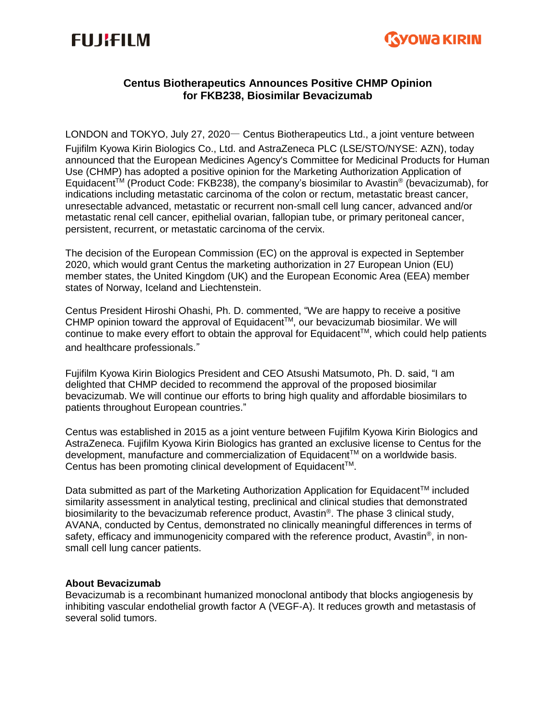# **FUJIFILM**



## **Centus Biotherapeutics Announces Positive CHMP Opinion for FKB238, Biosimilar Bevacizumab**

LONDON and TOKYO, July 27, 2020― Centus Biotherapeutics Ltd., a joint venture between Fujifilm Kyowa Kirin Biologics Co., Ltd. and AstraZeneca PLC (LSE/STO/NYSE: AZN), today announced that the European Medicines Agency's Committee for Medicinal Products for Human Use (CHMP) has adopted a positive opinion for the Marketing Authorization Application of Equidacent<sup>™</sup> (Product Code: FKB238), the company's biosimilar to Avastin® (bevacizumab), for indications including metastatic carcinoma of the colon or rectum, metastatic breast cancer, unresectable advanced, metastatic or recurrent non-small cell lung cancer, advanced and/or metastatic renal cell cancer, epithelial ovarian, fallopian tube, or primary peritoneal cancer, persistent, recurrent, or metastatic carcinoma of the cervix.

The decision of the European Commission (EC) on the approval is expected in September 2020, which would grant Centus the marketing authorization in 27 European Union (EU) member states, the United Kingdom (UK) and the European Economic Area (EEA) member states of Norway, Iceland and Liechtenstein.

Centus President Hiroshi Ohashi, Ph. D. commented, "We are happy to receive a positive CHMP opinion toward the approval of Equidacent™, our bevacizumab biosimilar. We will continue to make every effort to obtain the approval for Equidacent™, which could help patients and healthcare professionals."

Fujifilm Kyowa Kirin Biologics President and CEO Atsushi Matsumoto, Ph. D. said, "I am delighted that CHMP decided to recommend the approval of the proposed biosimilar bevacizumab. We will continue our efforts to bring high quality and affordable biosimilars to patients throughout European countries."

Centus was established in 2015 as a joint venture between Fujifilm Kyowa Kirin Biologics and AstraZeneca. Fujifilm Kyowa Kirin Biologics has granted an exclusive license to Centus for the development, manufacture and commercialization of Equidacent™ on a worldwide basis. Centus has been promoting clinical development of Equidacent<sup>™</sup>.

Data submitted as part of the Marketing Authorization Application for Equidacent™ included similarity assessment in analytical testing, preclinical and clinical studies that demonstrated biosimilarity to the bevacizumab reference product, Avastin®. The phase 3 clinical study, AVANA, conducted by Centus, demonstrated no clinically meaningful differences in terms of safety, efficacy and immunogenicity compared with the reference product, Avastin®, in nonsmall cell lung cancer patients.

#### **About Bevacizumab**

Bevacizumab is a recombinant humanized monoclonal antibody that blocks angiogenesis by inhibiting vascular endothelial growth factor A (VEGF-A). It reduces growth and metastasis of several solid tumors.